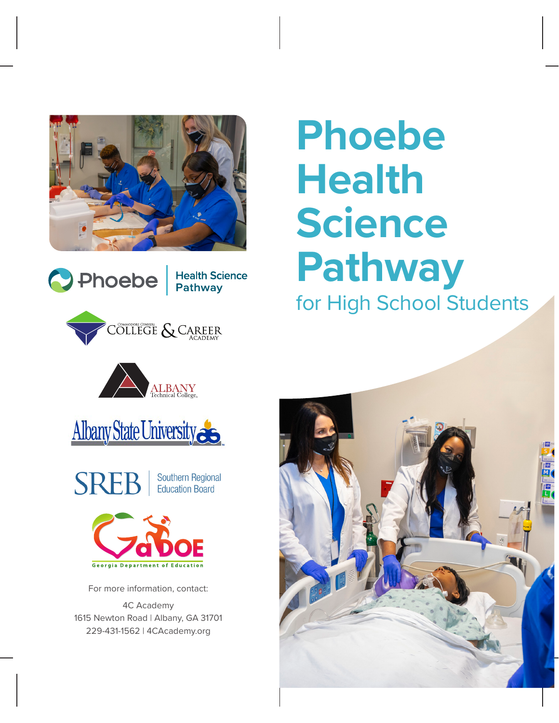









Southern Regional **SREB Education Board** 



For more information, contact:

4C Academy 1615 Newton Road | Albany, GA 31701 229-431-1562 | 4CAcademy.org

# **Phoebe Health Science Pathway**  for High School Students